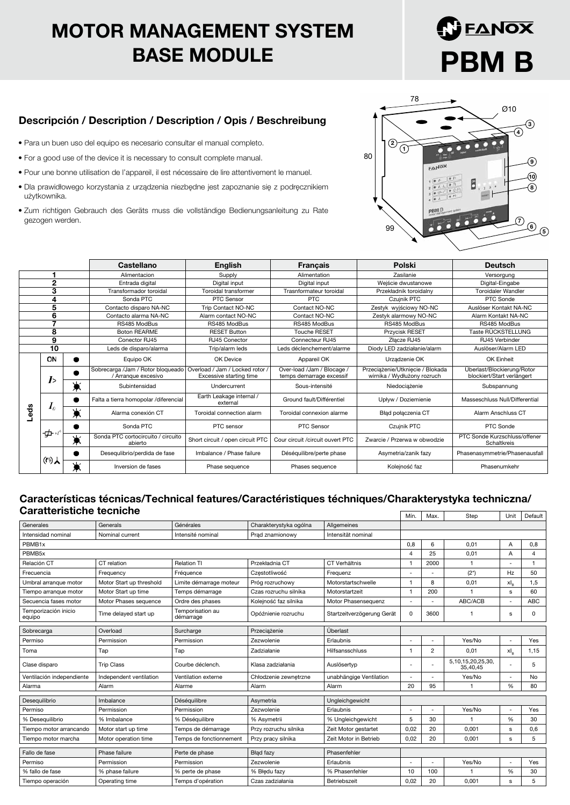## MOTOR MANAGEMENT SYSTEM BASE MODULE

# ΕΔΝΟΧ PBM B

#### Descripción / Description / Description / Opis / Beschreibung

- Para un buen uso del equipo es necesario consultar el manual completo.
- For a good use of the device it is necessary to consult complete manual.
- Pour une bonne utilisation de l'appareil, il est nécessaire de lire attentivement le manuel.
- Dla prawidłowego korzystania z urządzenia niezbędne jest zapoznanie się z podręcznikiem użytkownika.
- Zum richtigen Gebrauch des Geräts muss die vollständige Bedienungsanleitung zu Rate gezogen werden.



|              |                |        | Castellano                                               | <b>English</b>                                             | <b>Francais</b>                                        | Polski                                                          | <b>Deutsch</b>                                           |  |
|--------------|----------------|--------|----------------------------------------------------------|------------------------------------------------------------|--------------------------------------------------------|-----------------------------------------------------------------|----------------------------------------------------------|--|
|              |                |        | Alimentacion                                             | Supply                                                     | Alimentation                                           | Zasilanie                                                       | Versorgung                                               |  |
| $\mathbf{2}$ |                |        | Entrada digital                                          | Digital input                                              | Wejście dwustanowe<br>Digital input                    |                                                                 | Digital-Eingabe                                          |  |
| 3            |                |        | Transformador toroidal                                   | Toroidal transformer                                       | Trasnformateur toroidal                                | Przekładnik toroidalny                                          | <b>Toroidaler Wandler</b>                                |  |
|              | 4              |        | Sonda PTC                                                | PTC Sensor                                                 | <b>PTC</b>                                             | Czujnik PTC                                                     | PTC Sonde                                                |  |
|              | 5              |        | Contacto disparo NA-NC                                   | Trip Contact NO-NC                                         | Contact NO-NC                                          | Zestyk wyjściowy NO-NC                                          | Auslöser Kontakt NA-NC                                   |  |
|              | 6              |        | Contacto alarma NA-NC                                    | Alarm contact NO-NC                                        | Contact NO-NC                                          | Zestyk alarmowy NO-NC                                           | Alarm Kontakt NA-NC                                      |  |
|              | ۰,             |        | RS485 ModBus                                             | RS485 ModBus                                               | RS485 ModBus                                           | RS485 ModBus                                                    | RS485 ModBus                                             |  |
|              | 8              |        | <b>Boton REARME</b>                                      | <b>RESET Button</b>                                        | <b>Touche RESET</b>                                    | Przycisk RESET                                                  | Taste RÜCKSTELLUNG                                       |  |
|              | 9              |        | Conector RJ45                                            | RJ45 Conector                                              | Connecteur RJ45                                        | Złacze RJ45                                                     | RJ45 Verbinder                                           |  |
|              | 10             |        | Leds de disparo/alarma                                   | Trip/alarm leds                                            | Leds déclenchement/alarme                              | Diody LED zadziałanie/alarm                                     | Auslöser/Alarm LED                                       |  |
|              | ON             |        | Equipo OK                                                | OK Device                                                  | Appareil OK                                            | Urządzenie OK                                                   | OK Einheit                                               |  |
|              | I >            |        | Sobrecarga /Jam / Rotor bloqueado<br>/ Arranque excesivo | Overload / Jam / Locked rotor /<br>Excessive starting time | Over-load /Jam / Blocage /<br>temps demarrage excessif | Przeciążenie/Utknięcie / Blokada<br>wirnika / Wydłużony rozruch | Überlast/Blockierung/Rotor<br>blockiert/Start verlängert |  |
|              |                | ☀      | Subintensidad                                            | Undercurrent                                               | Sous-intensité                                         | Niedociążenie                                                   | Subspannung                                              |  |
|              | I <sub>0</sub> |        | Falta a tierra homopolar /diferencial                    | Earth Leakage internal /<br>external                       | Ground fault/Différentiel                              | Upływ / Doziemienie                                             | Masseschluss Null/Differential                           |  |
| Leds         |                | ☀      | Alarma conexión CT                                       | Toroidal connection alarm                                  | Toroidal connexion alarme                              | Bład połaczenia CT                                              | Alarm Anschluss CT                                       |  |
|              |                |        | Sonda PTC                                                | PTC sensor                                                 | PTC Sensor                                             | Czujnik PTC                                                     | PTC Sonde                                                |  |
|              | -⊈⊢≁           | w<br>墨 | Sonda PTC cortocircuito / circuito<br>abierto            | Short circuit / open circuit PTC                           | Cour circuit / circuit ouvert PTC                      | Zwarcie / Przerwa w obwodzie                                    | PTC Sonde Kurzschluss/offener<br>Schaltkreis             |  |
|              | (例人            |        | Desegulibrio/perdida de fase                             | Imbalance / Phase failure                                  | Déséquilibre/perte phase                               | Asymetria/zanik fazy                                            | Phasenasymmetrie/Phasenausfall                           |  |
|              |                | ىك     | Inversion de fases                                       | Phase sequence                                             | Phases sequence                                        | Kolejność faz                                                   | Phasenumkehr                                             |  |

#### Características técnicas/Technical features/Caractéristiques téchniques/Charakterystyka techniczna/ Caratteristiche tecniche

|                                |                          |                               |                        |                            |                | Max.           | Step                               | Unit     | Default    |
|--------------------------------|--------------------------|-------------------------------|------------------------|----------------------------|----------------|----------------|------------------------------------|----------|------------|
| Generales                      | Generals                 | Générales                     | Charakterystyka ogólna | Allgemeines                |                |                |                                    |          |            |
| Intensidad nominal             | Nominal current          | Intensité nominal             | Prad znamionowy        | Intensität nominal         |                |                |                                    |          |            |
| PBMB1x                         |                          |                               |                        |                            | 0,8            | 6              | 0.01                               | A        | 0,8        |
| PBMB5x                         |                          |                               |                        |                            | $\overline{4}$ | 25             | 0,01                               | A        | 4          |
| Relación CT                    | CT relation              | <b>Relation TI</b>            | Przekładnia CT         | CT Verhältnis              | $\overline{1}$ | 2000           | 1                                  |          | -1         |
| Frecuencia                     | Frequency                | Fréquence                     | Czestotliwość          | Frequenz                   |                |                | $(2^{*})$                          | Hz       | 50         |
| Umbral arranque motor          | Motor Start up threshold | Limite démarrage moteur       | Próg rozruchowy        | Motorstartschwelle         | $\overline{1}$ | 8              | 0.01                               | $xI_{R}$ | 1,5        |
| Tiempo arranque motor          | Motor Start up time      | Temps démarrage               | Czas rozruchu silnika  | Motorstartzeit             |                | 200            |                                    | s        | 60         |
| Secuencia fases motor          | Motor Phases sequence    | Ordre des phases              | Kolejność faz silnika  | Motor Phasensequenz        |                |                | ABC/ACB                            |          | <b>ABC</b> |
| Temporización inicio<br>equipo | Time delayed start up    | Temporisation au<br>démarrage | Opóźnienie rozruchu    | Startzeitverzögerung Gerät | 0              | 3600           |                                    | s        | 0          |
| Sobrecarga                     | Overload                 | Surcharge                     | Przeciążenie           | Überlast                   |                |                |                                    |          |            |
| Permiso                        | Permission               | Permission                    | Zezwolenie             | Erlaubnis                  |                |                | Yes/No                             |          | Yes        |
| Toma                           | Tap                      | Tap                           | Zadziałanie            | Hilfsansschluss            |                | $\overline{2}$ | 0,01                               | $xI_R$   | 1,15       |
| Clase disparo                  | <b>Trip Class</b>        | Courbe déclench.              | Klasa zadziałania      | Auslösertyp                |                |                | 5, 10, 15, 20, 25, 30,<br>35,40,45 |          | 5          |
| Ventilación independiente      | Independent ventilation  | Ventilation externe           | Chłodzenie zewnetrzne  | unabhängige Ventilation    |                |                | Yes/No                             |          | <b>No</b>  |
| Alarma                         | Alarm                    | Alarme                        | Alarm                  | Alarm                      | 20             | 95             |                                    | %        | 80         |
| Desequilibrio                  | Imbalance                | Déséquilibre                  | Asymetria              | Ungleichgewicht            |                |                |                                    |          |            |
| Permiso                        | Permission               | Permission                    | Zezwolenie             | Erlaubnis                  |                |                | Yes/No                             |          | Yes        |
| % Desequilibrio                | % Imbalance              | % Déséquilibre                | % Asymetrii            | % Ungleichgewicht          | 5              | 30             |                                    | %        | 30         |
| Tiempo motor arrancando        | Motor start up time      | Temps de démarrage            | Przy rozruchu silnika  | Zeit Motor gestartet       | 0,02           | 20             | 0,001                              | s        | 0,6        |
| Tiempo motor marcha            | Motor operation time     | Temps de fonctionnement       | Przy pracy silnika     | Zeit Motor in Betrieb      | 0.02           | 20             | 0.001                              | s        | 5          |
| Fallo de fase                  | Phase failure            | Perte de phase                | Bład fazy              | Phasenfehler               |                |                |                                    |          |            |
| Permiso                        | Permission               | Permission                    | Zezwolenie             | Erlaubnis                  |                |                | Yes/No                             |          | Yes        |
| % fallo de fase                | % phase failure          | % perte de phase              | % Błedu fazy           | % Phasenfehler             | 10             | 100            |                                    | %        | 30         |
| Tiempo operación               | Operating time           | Temps d'opération             | Czas zadziałania       | Betriebszeit               | 0.02           | 20             | 0.001                              | s        | 5          |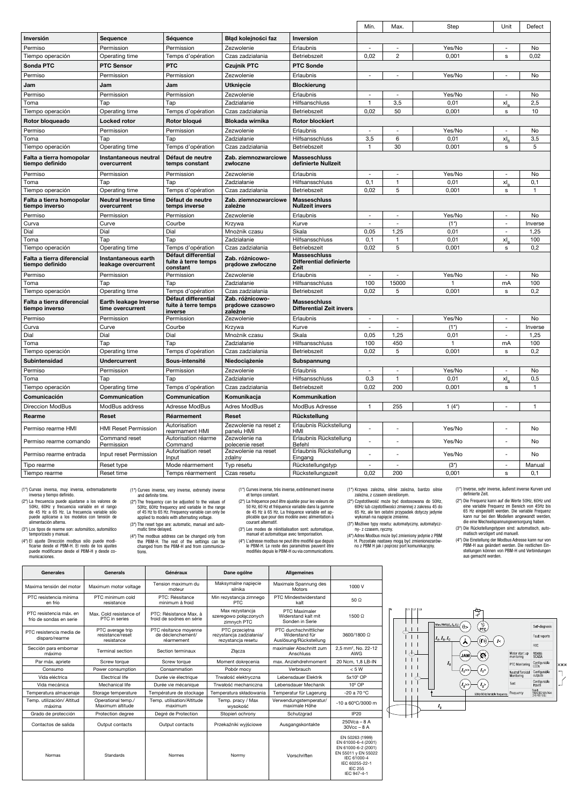|                                               |                                            |                                                        |                                               |                                                               | Mín.                     | Max.                     | Step             | Unit                     | Defect        |
|-----------------------------------------------|--------------------------------------------|--------------------------------------------------------|-----------------------------------------------|---------------------------------------------------------------|--------------------------|--------------------------|------------------|--------------------------|---------------|
| Inversión                                     | Seauence                                   | Séquence                                               | Bład kolejności faz                           | Inversion                                                     |                          |                          |                  |                          |               |
| Permiso                                       | Permission                                 | Permission                                             | Zezwolenie                                    | Erlaubnis                                                     | $\sim$                   | $\overline{\phantom{a}}$ | Yes/No           | $\overline{\phantom{a}}$ | No            |
| Tiempo operación                              | Operating time                             | Temps d'opération                                      | Czas zadziałania                              | Betriebszeit                                                  | 0,02                     | $\overline{c}$           | 0,001            | s                        | 0,02          |
| Sonda PTC                                     | <b>PTC Sensor</b>                          | <b>PTC</b>                                             | <b>Czujnik PTC</b>                            | <b>PTC Sonde</b>                                              |                          |                          |                  |                          |               |
| Permiso                                       | Permission                                 | Permission                                             | Zezwolenie                                    | Erlaubnis                                                     | $\overline{\phantom{a}}$ | $\overline{\phantom{a}}$ | Yes/No           | $\overline{\phantom{a}}$ | No            |
| Jam                                           | Jam                                        | Jam                                                    | <b>Utkniecie</b>                              | <b>Blockierung</b>                                            |                          |                          |                  |                          |               |
| Permiso                                       | Permission                                 | Permission                                             | Zezwolenie                                    | Erlaubnis                                                     | ÷,                       |                          | Yes/No           | L,                       | No            |
| Toma                                          | Tap                                        | Tap                                                    | Zadziałanie                                   | Hilfsanschluss                                                | $\mathbf{1}$             | 3,5                      | 0.01             | xl.                      | 2,5           |
| Tiempo operación                              | Operating time                             | Temps d'opération                                      | Czas zadziałania                              | Betriebszeit                                                  | 0,02                     | 50                       | 0,001            | s                        | 10            |
| Rotor bloqueado                               | <b>Locked rotor</b>                        | Rotor bloqué                                           | <b>Blokada wirnika</b>                        | <b>Rotor blockiert</b>                                        |                          |                          |                  |                          |               |
| Permiso                                       | Permission                                 | Permission                                             | Zezwolenie                                    | Erlaubnis                                                     | $\overline{a}$           |                          | Yes/No           | ÷,                       | No            |
| Toma                                          | Tap                                        | Tap                                                    | Zadziałanie                                   | Hilfsansschluss                                               | 3,5                      | 6                        | 0,01             | xI,                      | 3,5           |
| Tiempo operación                              | Operating time                             | Temps d'opération                                      | Czas zadziałania                              | Betriebszeit                                                  | $\mathbf{1}$             | 30                       | 0,001            | s                        | 5             |
| Falta a tierra homopolar<br>tiempo definido   | Instantaneous neutral<br>overcurrent       | Défaut de neutre<br>temps constant                     | Zab. ziemnozwarciowe<br>zwłoczne              | <b>Masseschluss</b><br>definierte Nullzeit                    |                          |                          |                  |                          |               |
| Permiso                                       | Permission                                 | Permission                                             | Zezwolenie                                    | Erlaubnis                                                     | $\overline{a}$           | ÷,                       | Yes/No           | ÷,                       | No            |
| Toma                                          | Tap                                        | Tap                                                    | Zadziałanie                                   | Hilfsansschluss                                               | 0,1                      | $\mathbf{1}$             | 0,01             | xI,                      | 0,1           |
| Tiempo operación                              | Operating time                             | Temps d'opération                                      | Czas zadziałania                              | Betriebszeit                                                  | 0.02                     | 5                        | 0,001            | s                        | 1             |
| Falta a tierra homopolar<br>tiempo inverso    | Neutral Inverse time<br>overcurrent        | Défaut de neutre<br>temps inverse                      | Zab. ziemnozwarciowe<br>zależne               | <b>Masseschluss</b><br><b>Nullzeit invers</b>                 |                          |                          |                  |                          |               |
| Permiso                                       | Permission                                 | Permission                                             | Zezwolenie                                    | Erlaubnis                                                     | $\sim$                   | $\sim$                   | Yes/No           | $\sim$                   | No            |
| Curva                                         | Curve                                      | Courbe                                                 | Krzywa                                        | Kurve                                                         | ÷,                       | ÷,                       | $(1^*)$          | $\overline{\phantom{a}}$ | Inverse       |
| Dial                                          | Dial                                       | Dial                                                   | Mnożnik czasu                                 | Skala                                                         | 0.05                     | 1.25                     | 0.01             | ÷,                       | 1.25          |
| Toma                                          | Tap                                        | Tap                                                    | Zadziałanie                                   | Hilfsansschluss                                               | 0,1                      | $\mathbf{1}$             | 0,01             | xl.                      | 100           |
| Tiempo operación                              | Operating time                             | Temps d'opération                                      | Czas zadziałania                              | Betriebszeit                                                  | 0,02                     | 5                        | 0,001            | s                        | 0,2           |
|                                               |                                            |                                                        |                                               |                                                               |                          |                          |                  |                          |               |
| Falta a tierra diferencial<br>tiempo definido | Instantaneous earth<br>leakage overcurrent | Défaut differential<br>fuite à terre temps<br>constant | Zab. różnicowo-<br>prądowe zwłoczne           | <b>Masseschluss</b><br><b>Differential definierte</b><br>Zeit |                          |                          |                  |                          |               |
| Permiso                                       | Permission                                 | Permission                                             | Zezwolenie                                    | Erlaubnis                                                     | $\overline{a}$           |                          | Yes/No           |                          | No            |
| Toma                                          | Tap                                        | Tap                                                    | Zadziałanie                                   | Hilfsansschluss                                               | 100                      | 15000                    | $\overline{1}$   | mA                       | 100           |
| Tiempo operación                              | Operating time                             | Temps d'opération                                      | Czas zadziałania                              | Betriebszeit                                                  | 0,02                     | 5                        | 0,001            | s                        | 0,2           |
| Falta a tierra diferencial<br>tiempo inverso  | Earth leakage Inverse<br>time overcurrent  | Défaut differential<br>fuite à terre temps<br>inverse  | Zab. różnicowo-<br>pradowe czasowo<br>zależne | <b>Masseschluss</b><br><b>Differential Zeit invers</b>        |                          |                          |                  |                          |               |
| Permiso                                       | Permission                                 | Permission                                             | Zezwolenie                                    | Erlaubnis                                                     | $\overline{\phantom{a}}$ | $\overline{\phantom{a}}$ | Yes/No           | $\overline{\phantom{a}}$ | No            |
| Curva                                         | Curve                                      | Courbe                                                 | Krzywa                                        | Kurve                                                         |                          |                          | $(1^*)$          | ÷,                       | Inverse       |
| Dial                                          | Dial                                       | Dial                                                   | Mnożnik czasu                                 | Skala                                                         | 0,05                     | 1,25                     | 0,01             | $\overline{a}$           | 1,25          |
| Toma                                          | Tap                                        | Tap                                                    | Zadziałanie                                   | Hilfsansschluss                                               | 100                      | 450                      | $\mathbf{1}$     | mA                       | 100           |
| Tiempo operación                              | Operating time                             | Temps d'opération                                      | Czas zadziałania                              | Betriebszeit                                                  | 0,02                     | 5                        | 0,001            | s                        | 0,2           |
| <b>Subintensidad</b>                          | <b>Undercurrent</b>                        | Sous-intensité                                         | Niedociążenie                                 | Subspannung                                                   |                          |                          |                  |                          |               |
| Permiso                                       | Permission                                 | Permission                                             | Zezwolenie                                    | Erlaubnis                                                     | $\overline{a}$           | $\overline{\phantom{a}}$ | Yes/No           | ٠                        | No            |
| Toma                                          | Tap                                        | Tap                                                    | Zadziałanie                                   | Hilfsansschluss                                               | 0,3                      | $\mathbf{1}$             | 0,01             | xI,                      | 0,5           |
| Tiempo operación                              | Operating time                             | Temps d'opération                                      | Czas zadziałania                              | Betriebszeit                                                  | 0,02                     | 200                      | 0,001            | s                        | 1             |
| Comunicación                                  | Communication                              | Communication                                          | Komunikacja                                   | Kommunikation                                                 |                          |                          |                  |                          |               |
| <b>Direccion ModBus</b>                       | ModBus address                             | Adresse ModBus                                         | Adres ModBus                                  | ModBus Adresse                                                | $\mathbf{1}$             | 255                      | $1(4^*)$         |                          | $\mathbf{1}$  |
| Rearme                                        | Reset                                      | Réarmement                                             | Reset                                         | Rückstellung                                                  |                          |                          |                  |                          |               |
| Permiso rearme HMI                            | <b>HMI Reset Permission</b>                | Autorisation<br>rearmament HMI                         | Zezwolenie na reset z<br>panelu HMI           | Erlaubnis Rückstellung<br>HMI                                 | ÷,                       | ÷,                       | Yes/No           | ÷,                       | No            |
| Permiso rearme comando                        | Command reset<br>Permission                | Autorisation réarme<br>Command                         | Zezwolenie na<br>polecenie reset              | Erlaubnis Rückstellung<br>Befehl                              | $\overline{a}$           | ÷                        | Yes/No           |                          | No            |
| Permiso rearme entrada                        | Input reset Permission                     | Autorisation reset<br>Input                            | Zezwolenie na reset<br>zdalny                 | Erlaubnis Rückstellung<br>Eingang                             |                          |                          | Yes/No           |                          | No            |
| Tipo rearme<br>Tiempo rearme                  | Reset type<br>Reset time                   | Mode réarmement<br>Temps réarmement                    | Typ resetu<br>Czas resetu                     | Rückstellungstyp<br>Rückstellungszeit                         | $\overline{a}$<br>0,02   | $\overline{a}$<br>200    | $(3^*)$<br>0,001 | ÷,<br>s                  | Manual<br>0.1 |

(1\*) Curvas inversa, muy inversa, extremadamente inversa y tiempo definido.

(2\*) La frecuencia puede ajustarse a los valores de 50Hz, 60Hz y frecuencia variable en el rango de 45 Hz a 65 Hz. La frecuencia variable sólo puede aplicarse a los modelos con tensión de alimentación alterna.

(3\*) Los tipos de rearme son: automático, automático temporizado y manual.

(4\*) El ajuste Dirección modbus sólo puede modi-ficarse desde el PBM-H. El resto de los ajustes puede modificarse desde el PBM-H y desde co-municaciones.

Ē

 $\Gamma$ 

(1\*) Curves inverse, very inverse, extremely inverse and definite time.

- (2\*) The frequency can be adjusted to the values of 50Hz, 60Hz frequency and variable in the range of 45 Hz to 65 Hz. Frequency variable can only be applied to models with alternating voltage.
- (3\*) The reset type are: automatic, manual and auto-matic time delayed.
- (4\*) The modbus address can be changed only from the PBM-H. The rest of the settings can be changed from the PBM-H and from communica-tions.

T

(1\*) Curves inverse, très inverse, extrêmement inverse et temps constant.

- (2\*) La fréquence peut être ajustée pour les valeurs de 50 Hz, 60 Hz et fréquence variable dans la gamme de 45 Hz à 65 Hz. La fréquence variable est ap-plicable que pour des modèle avec alimentation à courant alternatif.
- (3\*) Les modes de réinitialisation sont: automatique, manuel et automatique avec temporisation. (4\*) L'adresse modbus ne peut être modifié que depuis le PBM-H. Le reste des paramètres peuvent être
- modifiés depuis le PBM-H ou via communications.

 $\top$ 

(1\*) Krzywa zależna, silnie zależna, bardzo silnie zależna, z czasem określonym.

(2") Częstotliwość może być dostosowana do 50Hz,<br>60Hz lub częstotliwości zmiennej z zakresu 45 do 65 Hz, ale ten ostatni przypadek dotyczy jedynie<br>wykonań na napięcie zmienne.<br>(3") Możliwe typy resetu: automatyczny, autom

(4\*) Adres Modbus może być zmieniony jedynie z PBM H. Pozostałe nastawy mogą być zmienionezarów-no z PBM H jak i poprzez port komunikacyjny.

٦

(1\*) Inverse, sehr inverse, äußerst inverse Kurven und definierte Zeit.

- (2\*) Die Frequenz kann auf die Werte 50Hz, 60Hz und<br>eine variable Frequenz im Bereich von 45Hz bis<br>65 Hz eingestellt werden. Die variable Frequenz<br>kann nur bei den Modellen angewandt werden,<br>die eine Wechselspannungsversor
- 
- (3\*) Die Rückstellungstypen sind: automatisch, automatisch (4\*) intersective reviewent und manuell.<br>(4\*) Die Einstellung der Modbus Adresse kann nur von PBM-H aus geändert werden. Die restlichen Einstellungen können von PB

| Generales                                          | Generals                                           | Généraux                                                 | Dane ogólne                                                      | <b>Allgemeines</b>                                                 |                                                                                                                                                        |
|----------------------------------------------------|----------------------------------------------------|----------------------------------------------------------|------------------------------------------------------------------|--------------------------------------------------------------------|--------------------------------------------------------------------------------------------------------------------------------------------------------|
| Maxima tensión del motor                           | Maximum motor voltage                              | Tension maximum du<br>moteur                             | Maksymalne napiecie<br>silnika                                   | Maximale Spannung des<br>Motors                                    | 1000 V                                                                                                                                                 |
| PTC resistencia mínima<br>en frío                  | PTC minimum cold<br>resistance                     | PTC: Réssitance<br>minimum à froid                       | Min rezystancja zimnego<br>PTC                                   | PTC Mindestwiderstand<br>kalt                                      | 50Q                                                                                                                                                    |
| PTC resistencia máx, en<br>frío de sondas en serie | Max. Cold resistance of<br>PTC in series           | PTC: Résistance Max. à<br>froid de sodnes en série       | Max rezystancja<br>szeregowo połączonych<br>zimnych PTC          | PTC Maximaler<br>Widerstand kalt mit<br>Sonden in Serie            | $1500$ $\circ$                                                                                                                                         |
| PTC resistencia media de<br>disparo/rearme         | PTC average trip<br>resistance/reset<br>resistance | PTC résitance movenne<br>de déclenchement/<br>réarmement | PTC przecietna<br>rezystancja zadziałania/<br>rezystancja resetu | PTC durchschnittlicher<br>Widerstand für<br>Auslösung/Rückstellung | 3600/1800 O                                                                                                                                            |
| Sección para embornar<br>máximo                    | <b>Terminal section</b>                            | Section terminaux                                        | Złacza                                                           | maximaler Abschnitt zum<br><b>Anschluss</b>                        | 2,5 mm <sup>2</sup> , No. 22-12<br>AWG                                                                                                                 |
| Par máx. apriete                                   | Screw torque                                       | Screw torque                                             | Moment dokrecenia                                                | max. Anziehdrehmoment                                              | 20 Ncm. 1.8 LB-IN                                                                                                                                      |
| Consumo                                            | Power consumption                                  | Consammation                                             | Pobór mocy                                                       | Verbrauch                                                          | < 5 W                                                                                                                                                  |
| Vida eléctrica                                     | <b>Flectrical life</b>                             | Durée vie électrique                                     | Trwałość elektryczna                                             | Lebensdauer Flektrik                                               | 5x10 <sup>5</sup> OP                                                                                                                                   |
| Vida mecánica                                      | Mechanical life                                    | Durée vie mécanique                                      | Trwałość mechaniczna                                             | Lebensdauer Mechanik                                               | $106$ OP                                                                                                                                               |
| Temperatura almacenaje                             | Storage temperature                                | Température de stockage                                  | Temperatura składowania                                          | Temperatur für Lagerung                                            | -20 a 70 °C                                                                                                                                            |
| Temp, utilización/ Altitud<br>máxima               | Operational temp./<br>Maximum altitude             | Temp, utilisation/Altitude<br>maximum                    | Temp. pracy / Max<br>wysokość                                    | Verwendungstemperatur/<br>maximale Höhe                            | -10 a 60°C/3000 m                                                                                                                                      |
| Grado de protección                                | Protection degree                                  | Dearé de Protection                                      | Stopień ochrony                                                  | Schutzgrad                                                         | IP20                                                                                                                                                   |
| Contactos de salida                                | Output contacts                                    | Output contacts                                          | Przekaźniki wyjściowe                                            | Ausgangskontakte                                                   | $250Vca - 8A$<br>$30Vec - 8A$                                                                                                                          |
| <b>Normas</b>                                      | Standards                                          | Normes                                                   | Norrmy                                                           | Vorschriften                                                       | EN 50263 (1999)<br>EN 61000-6-4 (2001)<br>EN 61000-6-2 (2001)<br>EN 55011 y EN 55022<br>IFC 61000-4<br>IFC 60255-22-1<br><b>IEC 255</b><br>IEC 947-4-1 |

T

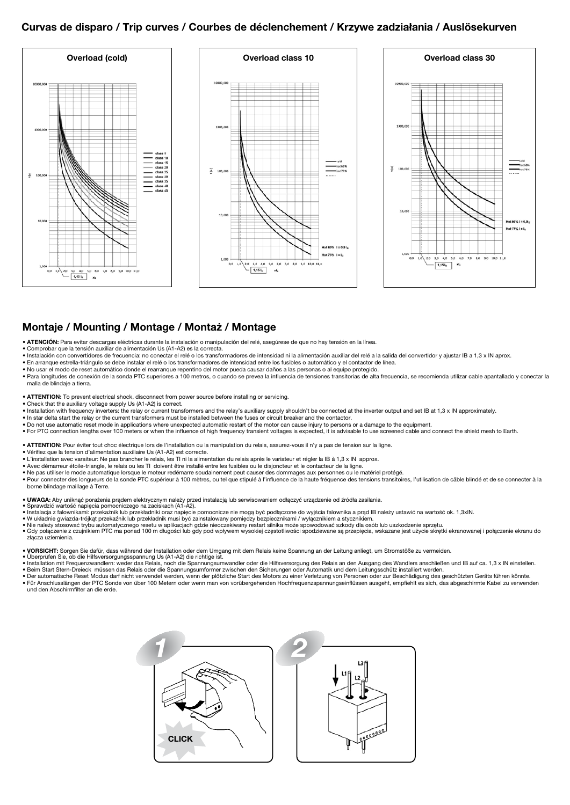#### Curvas de disparo / Trip curves / Courbes de déclenchement / Krzywe zadziałania / Auslösekurven



#### Montaje / Mounting / Montage / Montaż / Montage

- ATENCIÓN: Para evitar descargas eléctricas durante la instalación o manipulación del relé, asegúrese de que no hay tensión en la línea.
- Comprobar que la tensión auxiliar de alimentación Us (A1-A2) es la correcta.
- Instalación con convertidores de frecuencia: no conectar el relé o los transformadores de intensidad ni la alimentación auxiliar del relé a la salida del convertidor y ajustar IB a 1,3 x IN aprox.
- En arranque estrella-triángulo se debe instalar el relé o los transformadores de intensidad entre los fusibles o automático y el contactor de línea.
- No usar el modo de reset automático donde el rearranque repentino del motor pueda causar daños a las personas o al equipo protegido.
- Para longitudes de conexión de la sonda PTC superiores a 100 metros, o cuando se prevea la influencia de tensiones transitorias de alta frecuencia, se recomienda utilizar cable apantallado y conectar la malla de blindaje a tierra.
- ATTENTION: To prevent electrical shock, disconnect from power source before installing or servicing.
- 
- Check that the auxiliary voltage supply Us (A1-A2) is correct.<br>• Installation with frequency inverters: the relay or current transformers and the relay's auxiliary supply shouldn't be connected at the inverter output and
- 
- In star delta start the relay or the current transformers must be installed between the fuses or circuit breaker and the contactor.<br>• Do not use automatic reset mode in applications where unexpected automatic restart of
- For PTC connection lengths over 100 meters or when the influence of high frequency transient voltages is expected, it is advisable to use screened cable and connect the shield mesh to Earth.
- ATTENTION: Pour éviter tout choc électrique lors de l'installation ou la manipulation du relais, assurez-vous il n'y a pas de tension sur la ligne
- 
- Vérifiez que la tension d'alimentation auxiliaire Us (A1-A2) est correcte.<br>• L'installation avec varaiteur: Ne pas brancher le relais, les TI ni la alimentation du relais après le variateur et régler la IB à 1,3 x IN ap
- Avec démarreur étoile-triangle, le relais ou les TI doivent être installé entre les fusibles ou le disjoncteur et le contacteur de la ligne.
- Ne pas utiliser le mode automatique lorsque le moteur redémarre soudainement peut causer des dommages aux personnes ou le matériel protégé.
- Pour connecter des longueurs de la sonde PTC supérieur à 100 mètres, ou tel que stipulé à l'influence de la haute fréquence des tensions transitoires, l'utilisation de câble blindé et de se connecter à la borne blindage maillage à Terre.
- UWAGA: Aby uniknąć porażenia prądem elektrycznym należy przed instalacją lub serwisowaniem odłączyć urządzenie od źródła zasilania.
- 
- Sprawdzić wartość napięcia pomocniczego na zaciskach (A1-A2).<br>• Instalacja z falownikami: przekaźnik lub przekładniki oraz napięcie pomocnicze nie mogą być podłączone do wyjścia falownika a prąd IB należy ustawić na wart
- 
- 
- Nie należy stosować trybu automatycznego resetu w aplikacjach gdzie nieoczekiwany restart silnika może spowodować szkody dla osób lub uszkodzenie sprzętu.<br>• Gdy połączenie z czujnikiem PTC ma ponad 100 m długości lub gdy złącza uziemienia.
- VORSICHT: Sorgen Sie dafür, dass während der Installation oder dem Umgang mit dem Relais keine Spannung an der Leitung anliegt, um Stromstöße zu vermeiden.
- 
- Überprüfen Sie, ob die Hilfsversorgungsspannung Us (A1-A2) die richtige ist.<br>● Installation mit Frequenzwandlern: weder das Relais, noch die Spannungsumwandler oder die Hilfsversorgung des Relais an den Ausgang des Wand
- 
- Beim Start Stern-Dreieck müssen das Relais oder die Spannungsumformer zwischen den Sicherungen oder Automatik und dem Leitungsschütz installiert werden.<br>● Der automatische Reset Modus darf nicht verwendet weren mehr we und den Abschirmfilter an die erde.

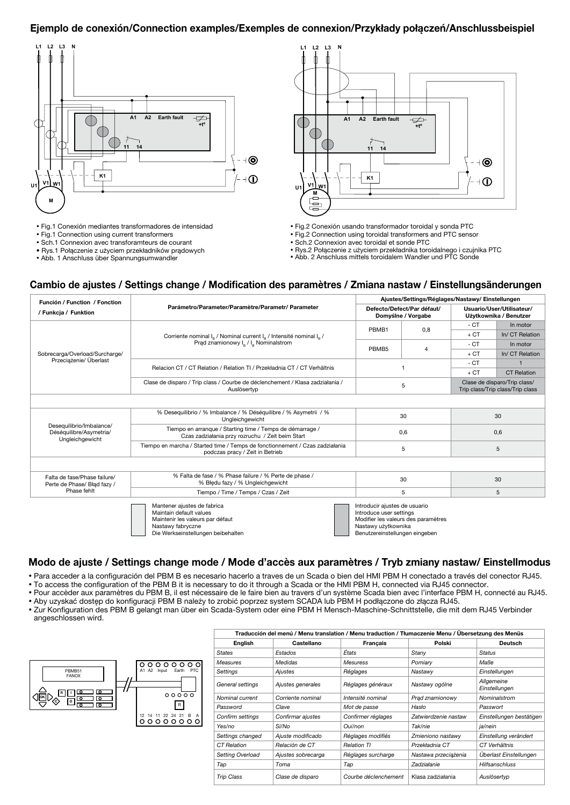#### Ejemplo de conexión/Connection examples/Exemples de connexion/Przykłady połączeń/Anschlussbeispiel

**L1 L2 L3**

⋔ ⋔

**N**

**U1 V1 W1**

**M**

높



• Fig.1 Conexión mediantes transformadores de intensidad

• Fig.1 Connection using current transformers

• Sch.1 Connexion avec transforamteurs de courant

• Rys.1 Połączenie z użyciem przekładników prądowych

• Abb. 1 Anschluss über Spannungsumwandler

**Earth fault**

- Fig.2 Conexión usando transformador toroidal y sonda PTC
- Fig.2 Connection using toroidal transformers and PTC sensor

**K1**

**A1 A2**

• Sch.2 Connexion avec toroidal et sonde PTC

• Rys.2 Połączenie z użyciem przekładnika toroidalnego i czujnika PTC

**+tº**

• Abb. 2 Anschluss mittels toroidalem Wandler und PTC Sonde

#### Cambio de ajustes / Settings change / Modification des paramètres / Zmiana nastaw / Einstellungsänderungen

| Función / Function / Fonction                                          |                                                                                                                                                       | Ajustes/Settings/Réglages/Nastawy/Einstellungen                                                                                                          |                                                  |                                                                  |                    |  |  |
|------------------------------------------------------------------------|-------------------------------------------------------------------------------------------------------------------------------------------------------|----------------------------------------------------------------------------------------------------------------------------------------------------------|--------------------------------------------------|------------------------------------------------------------------|--------------------|--|--|
| / Funkcja / Funktion                                                   | Parámetro/Parameter/Paramètre/Parametr/ Parameter                                                                                                     |                                                                                                                                                          | Defecto/Defect/Par défaut/<br>Domyślne / Vorgabe | Usuario/User/Utilisateur/<br>Użytkownika / Benutzer              |                    |  |  |
|                                                                        |                                                                                                                                                       | 0.8<br>PBMB1<br>PBMB <sub>5</sub><br>4<br>5                                                                                                              | $-CT$                                            | In motor                                                         |                    |  |  |
|                                                                        | Corriente nominal I <sub>o</sub> / Nominal current I <sub>o</sub> / Intensité nominal I <sub>o</sub> /                                                |                                                                                                                                                          |                                                  | $+CT$                                                            | In/ CT Relation    |  |  |
|                                                                        | Prąd znamionowy I <sub>B</sub> / I <sub>B</sub> Nominalstrom                                                                                          |                                                                                                                                                          |                                                  | $-CT$                                                            | In motor           |  |  |
| Sobrecarga/Overload/Surcharge/                                         |                                                                                                                                                       |                                                                                                                                                          |                                                  | $+CT$                                                            | In/ CT Relation    |  |  |
| Przeciążenie/ Überlast                                                 | Relacion CT / CT Relation / Relation TI / Przekładnia CT / CT Verhältnis                                                                              |                                                                                                                                                          |                                                  | $-CT$                                                            |                    |  |  |
|                                                                        |                                                                                                                                                       |                                                                                                                                                          |                                                  | $+CT$                                                            | <b>CT Relation</b> |  |  |
|                                                                        | Clase de disparo / Trip class / Courbe de déclenchement / Klasa zadziałania /<br>Auslösertyp                                                          |                                                                                                                                                          |                                                  | Clase de disparo/Trip class/<br>Trip class/Trip class/Trip class |                    |  |  |
|                                                                        |                                                                                                                                                       |                                                                                                                                                          |                                                  |                                                                  |                    |  |  |
|                                                                        | % Desequilibrio / % Imbalance / % Déséquilibre / % Asymetrii / %<br>Ungleichgewicht                                                                   | 30                                                                                                                                                       |                                                  |                                                                  |                    |  |  |
| Desequilibrio/Imbalance/<br>Déséquilibre/Asymetria/<br>Ungleichgewicht | Tiempo en arranque / Starting time / Temps de démarrage /<br>Czas zadziałania przy rozruchu / Zeit beim Start                                         |                                                                                                                                                          | 0,6                                              |                                                                  | 0,6                |  |  |
|                                                                        | Tiempo en marcha / Started time / Temps de fonctionnement / Czas zadziałania<br>podczas pracy / Zeit in Betrieb                                       |                                                                                                                                                          | 5                                                | 5                                                                |                    |  |  |
|                                                                        |                                                                                                                                                       |                                                                                                                                                          |                                                  |                                                                  |                    |  |  |
| Falta de fase/Phase failure/<br>Perte de Phase/ Błąd fazy /            | % Falta de fase / % Phase failure / % Perte de phase /<br>% Błedu fazy / % Ungleichgewicht                                                            |                                                                                                                                                          | 30                                               | 30                                                               |                    |  |  |
| Phase fehlt                                                            | Tiempo / Time / Temps / Czas / Zeit                                                                                                                   |                                                                                                                                                          | 5                                                | 5                                                                |                    |  |  |
|                                                                        | Mantener aiustes de fabrica<br>Maintain default values<br>Maintenir les valeurs par défaut<br>Nastawy fabryczne<br>Die Werkseinstellungen beibehalten | Introducir ajustes de usuario<br>Introduce user settings<br>Modifier les valeurs des paramètres<br>Nastawy użytkownika<br>Benutzereinstellungen eingeben |                                                  |                                                                  |                    |  |  |

#### Modo de ajuste / Settings change mode / Mode d'accès aux paramètres / Tryb zmiany nastaw/ Einstellmodus

• Para acceder a la configuración del PBM B es necesario hacerlo a traves de un Scada o bien del HMI PBM H conectado a través del conector RJ45.

• To access the configuration of the PBM B it is necessary to do it through a Scada or the HMI PBM H, connected via RJ45 connector.

• Pour accèder aux paramètres du PBM B, il est nécessaire de le faire bien au travers d'un système Scada bien avec l'interface PBM H, connecté au RJ45.

• Aby uzyskać dostęp do konfiguracji PBM B należy to zrobić poprzez system SCADA lub PBM H podłączone do złącza RJ45.

• Zur Konfiguration des PBM B gelangt man über ein Scada-System oder eine PBM H Mensch-Maschine-Schnittstelle, die mit dem RJ45 Verbinder angeschlossen wird.



| Traducción del menú / Menu translation / Menu traduction / Tłumaczenie Menu / Übersetzung des Menüs |                    |                      |                      |                             |  |  |  |  |  |
|-----------------------------------------------------------------------------------------------------|--------------------|----------------------|----------------------|-----------------------------|--|--|--|--|--|
| English                                                                                             | Castellano         | <b>Francais</b>      | Polski               | <b>Deutsch</b>              |  |  |  |  |  |
| <b>States</b>                                                                                       | Estados            | États                | Stany                | <b>Status</b>               |  |  |  |  |  |
| Measures                                                                                            | <b>Medidas</b>     | <b>Mesuress</b>      | Pomiarv              | Maße                        |  |  |  |  |  |
| Settings                                                                                            | Ajustes            | Réglages             | Nastawy              | Einstellungen               |  |  |  |  |  |
| General settings                                                                                    | Ajustes generales  | Réglages généraux    | Nastawy ogólne       | Allgemeine<br>Einstellungen |  |  |  |  |  |
| Nominal current                                                                                     | Corriente nominal  | Intensité nominal    | Prad znamionowy      | Nominalstrom                |  |  |  |  |  |
| Password                                                                                            | Clave              | Mot de passe         | Hasło                | Passwort                    |  |  |  |  |  |
| Confirm settings                                                                                    | Confirmar ajustes  | Confirmer réglages   | Zatwierdzenie nastaw | Einstellungen bestätigen    |  |  |  |  |  |
| Yes/no                                                                                              | Sí/No              | Oui/non              | Tak/nie              | ia/nein                     |  |  |  |  |  |
| Settings changed                                                                                    | Ajuste modificado  | Réglages modifiés    | Zmieniono nastawy    | Einstellung verändert       |  |  |  |  |  |
| CT Relation                                                                                         | Relación de CT     | <b>Relation TI</b>   | Przekładnia CT       | CT Verhältnis               |  |  |  |  |  |
| Setting Overload                                                                                    | Ajustes sobrecarga | Réglages surcharge   | Nastawa przeciążenia | Überlast Einstellungen      |  |  |  |  |  |
| Tap                                                                                                 | Toma               | Tap                  | Zadziałanie          | <b>Hilfsanschluss</b>       |  |  |  |  |  |
| <b>Trip Class</b>                                                                                   | Clase de disparo   | Courbe déclenchement | Klasa zadziałania    | Auslösertvp                 |  |  |  |  |  |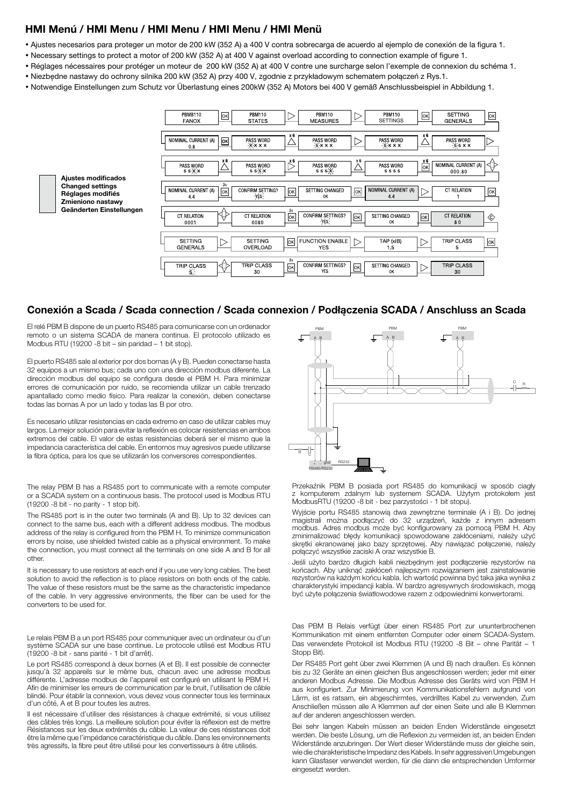#### HMI Menú / HMI Menu / HMI Menu / HMI Menu / HMI Menü

- Ajustes necesarios para proteger un motor de 200 kW (352 A) a 400 V contra sobrecarga de acuerdo al ejemplo de conexión de la figura 1.
- Necessary settings to protect a motor of 200 kW (352 A) at 400 V against overload according to connection example of figure 1.
- Réglages nécessaires pour protéger un moteur de 200 kW (352 A) at 400 V contre une surcharge selon l'exemple de connexion du schéma 1.
- Niezbędne nastawy do ochrony silnika 200 kW (352 A) przy 400 V, zgodnie z przykładowym schematem połączeń z Rys.1.
- Notwendige Einstellungen zum Schutz vor Überlastung eines 200kW (352 A) Motors bei 400 V gemäß Anschlussbeispiel in Abbildung 1.

| <b>PBMB110</b><br><b>FANOX</b>    | ok                      | PBM110<br><b>STATES</b>    |                       | <b>PBM110</b><br><b>MEASURES</b>     |                  | PBM110<br><b>SETTINGS</b>   | ok                              | <b>SETTING</b><br><b>GENERALS</b> | $ \alpha k $  |
|-----------------------------------|-------------------------|----------------------------|-----------------------|--------------------------------------|------------------|-----------------------------|---------------------------------|-----------------------------------|---------------|
| NOMINAL CURRENT (A)<br>0,8        | $\overline{\mathsf{K}}$ | PASS WORD<br>$-X$ $X$ $X$  | x 6                   | <b>PASS WORD</b><br>$-5x \times x$   | ▷                | PASS WORD<br>$-5x \times x$ | x 6                             | PASS WORD<br>$-6.5 \times x$      |               |
| PASS WORD<br>$55-\times$          | x6                      | PASS WORD<br>$55-6$        | x 6<br>D              | PASS WORD<br>$555 - X -$             | x6               | PASS WORD<br>5555           | x6<br>$\overline{\mathsf{O}}$ K | NOMINAL CURRENT (A)<br>000.80     | $\Rightarrow$ |
| NOMINAL CURRENT (A)<br>4.4        | 3s<br>OK                | CONFIRM SETTING?<br>-yės-  | $ \alpha k $          | SETTING CHANGED<br>0K                | lokl             | NOMINAL CURRENT (A)<br>4.4  |                                 | <b>CT RELATION</b>                | ok            |
| <b>CT RELATION</b><br>0001        |                         | <b>CT RELATION</b><br>0080 | 3s<br> OK             | CONFIRM SETTINGS?<br>-yes-           | ok               | SETTING CHANGED<br>0K       | oĸ                              | <b>CT RELATION</b><br>80          | ◈             |
| <b>SETTING</b><br><b>GENERALS</b> | >                       | <b>SETTING</b><br>OVERLOAD | lokl                  | <b>FUNCTION ENABLE</b><br><b>YES</b> |                  | TAP (xIB)<br>1.5            |                                 | <b>TRIP CLASS</b><br>5            | $\alpha$      |
| <b>TRIP CLASS</b><br>崇            | ₩                       | <b>TRIP CLASS</b><br>30    | 3s<br>$\sqrt{\alpha}$ | CONFIRM SETTINGS?<br><b>YES</b>      | $\boxed{\alpha}$ | SETTING CHANGED<br>0K       |                                 | <b>TRIP CLASS</b><br>30           |               |

Ajustes modificados Changed settings Réglages modifiés Zmieniono nastawy Geänderten Einstellungen

#### Conexión a Scada / Scada connection / Scada connexion / Podłączenia SCADA / Anschluss an Scada

El relé PBM B dispone de un puerto RS485 para comunicarse con un ordenador remoto o un sistema SCADA de manera continua. El protocolo utilizado es Modbus RTU (19200 -8 bit – sin paridad – 1 bit stop).

El puerto RS485 sale al exterior por dos bornas (A y B). Pueden conectarse hasta 32 equipos a un mismo bus; cada uno con una dirección modbus diferente. La dirección modbus del equipo se configura desde el PBM H. Para minimizar errores de comunicación por ruido, se recomienda utilizar un cable trenzado apantallado como medio físico. Para realizar la conexión, deben conectarse todas las bornas A por un lado y todas las B por otro.

Es necesario utilizar resistencias en cada extremo en caso de utilizar cables muy largos. La mejor solución para evitar la reflexión es colocar resistencias en ambos extremos del cable. El valor de estas resistencias deberá ser el mismo que la impedancia característica del cable. En entornos muy agresivos puede utilizarse la fibra óptica, para los que se utilizarán los conversores correspondientes.

The relay PBM B has a RS485 port to communicate with a remote computer or a SCADA system on a continuous basis. The protocol used is Modbus RTU (19200 -8 bit - no parity - 1 stop bit).

The RS485 port is in the outer two terminals (A and B). Up to 32 devices can connect to the same bus, each with a different address modbus. The modbus address of the relay is configured from the PBM H. To minimize communication errors by noise, use shielded twisted cable as a physical environment. To make the connection, you must connect all the terminals on one side A and B for all other.

It is necessary to use resistors at each end if you use very long cables. The best solution to avoid the reflection is to place resistors on both ends of the cable. The value of these resistors must be the same as the characteristic impedance of the cable. In very aggressive environments, the fiber can be used for the converters to be used for.

Le relais PBM B a un port RS485 pour communiquer avec un ordinateur ou d'un système SCADA sur une base continue. Le protocole utilisé est Modbus RTU (19200 -8 bit - sans parité - 1 bit d'arrêt).

Le port RS485 correspond à deux bornes (A et B). Il est possible de connecter jusqu'à 32 appareils sur le même bus, chacun avec une adresse modbus différente. L'adresse modbus de l'appareil est configuré en utilisant le PBM H. Afin de minimiser les erreurs de communication par le bruit, l'utilisation de câble blindé. Pour établir la connexion, vous devez vous connecter tous les terminaux d'un côté, A et B pour toutes les autres.

Il est nécessaire d'utiliser des résistances à chaque extrémité, si vous utilisez des câbles très longs. La meilleure solution pour éviter la réflexion est de mettre Résistances sur les deux extrémités du câble. La valeur de ces résistances doit être la même que l'impédance caractéristique du câble. Dans les environnements très agressifs, la fibre peut être utilisé pour les convertisseurs à être utilisés.



Przekaźnik PBM B posiada port RS485 do komunikacji w sposób ciagły z komputerem zdalnym lub systemem SCADA. Użytym protokołem jest ModbusRTU (19200 -8 bit - bez parzystości - 1 bit stopu).

Wyjście portu RS485 stanowią dwa zewnętrzne terminale (A i B). Do jednej magistrali można podłączyć do 32 urządzeń, każde z innym adresem modbus. Adres modbus może być konfigurowany za pomocą PBM H. Aby zminimalizować błędy komunikacji spowodowane zakłóceniami, należy użyć skrętki ekranowanej jako bazy sprzętowej. Aby nawiązać połączenie, należy połączyć wszystkie zaciski A oraz wszystkie B.

Jeśli użyto bardzo długich kabli niezbędnym jest podłączenie rezystorów na końcach. Aby uniknąć zakłóceń najlepszym rozwiązaniem jest zainstalowanie rezystorów na każdym końcu kabla. Ich wartość powinna być taka jaka wynika z charakterystyki impedancji kabla. W bardzo agresywnych środowiskach, mogą być użyte połączenia światłowodowe razem z odpowiednimi konwertorami.

Das PBM B Relais verfügt über einen RS485 Port zur ununterbrochenen Kommunikation mit einem entfernten Computer oder einem SCADA-System. Das verwendete Protokoll ist Modbus RTU (19200 -8 Bit – ohne Parität – 1 Stopp Bit).

Der RS485 Port geht über zwei Klemmen (A und B) nach draußen. Es können bis zu 32 Geräte an einen gleichen Bus angeschlossen werden; jeder mit einer anderen Modbus Adresse. Die Modbus Adresse des Geräts wird von PBM H aus konfiguriert. Zur Minimierung von Kommunikationsfehlern aufgrund von Lärm, ist es ratsam, ein abgeschirmtes, verdrilltes Kabel zu verwenden. Zum Anschließen müssen alle A Klemmen auf der einen Seite und alle B Klemmen auf der anderen angeschlossen werden.

Bei sehr langen Kabeln müssen an beiden Enden Widerstände eingesetzt werden. Die beste Lösung, um die Reflexion zu vermeiden ist, an beiden Enden Widerstände anzubringen. Der Wert dieser Widerstände muss der gleiche sein, wie die charakteristische Impedanz des Kabels. In sehr aggressiven Umgebungen kann Glasfaser verwendet werden, für die dann die entsprechenden Umformer eingesetzt werden.